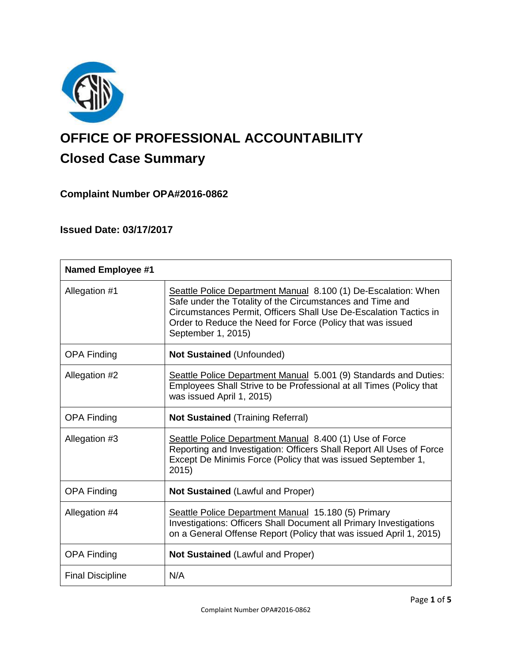

# **OFFICE OF PROFESSIONAL ACCOUNTABILITY Closed Case Summary**

# **Complaint Number OPA#2016-0862**

# **Issued Date: 03/17/2017**

| <b>Named Employee #1</b> |                                                                                                                                                                                                                                                                                      |
|--------------------------|--------------------------------------------------------------------------------------------------------------------------------------------------------------------------------------------------------------------------------------------------------------------------------------|
| Allegation #1            | Seattle Police Department Manual 8.100 (1) De-Escalation: When<br>Safe under the Totality of the Circumstances and Time and<br>Circumstances Permit, Officers Shall Use De-Escalation Tactics in<br>Order to Reduce the Need for Force (Policy that was issued<br>September 1, 2015) |
| <b>OPA Finding</b>       | <b>Not Sustained (Unfounded)</b>                                                                                                                                                                                                                                                     |
| Allegation #2            | Seattle Police Department Manual 5.001 (9) Standards and Duties:<br>Employees Shall Strive to be Professional at all Times (Policy that<br>was issued April 1, 2015)                                                                                                                 |
| <b>OPA Finding</b>       | <b>Not Sustained (Training Referral)</b>                                                                                                                                                                                                                                             |
| Allegation #3            | Seattle Police Department Manual 8.400 (1) Use of Force<br>Reporting and Investigation: Officers Shall Report All Uses of Force<br>Except De Minimis Force (Policy that was issued September 1,<br>2015)                                                                             |
| <b>OPA Finding</b>       | <b>Not Sustained (Lawful and Proper)</b>                                                                                                                                                                                                                                             |
| Allegation #4            | Seattle Police Department Manual 15.180 (5) Primary<br>Investigations: Officers Shall Document all Primary Investigations<br>on a General Offense Report (Policy that was issued April 1, 2015)                                                                                      |
| <b>OPA Finding</b>       | <b>Not Sustained (Lawful and Proper)</b>                                                                                                                                                                                                                                             |
| <b>Final Discipline</b>  | N/A                                                                                                                                                                                                                                                                                  |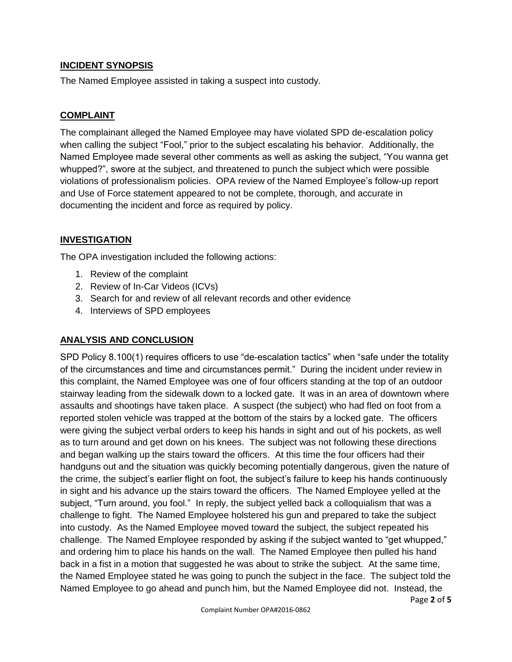#### **INCIDENT SYNOPSIS**

The Named Employee assisted in taking a suspect into custody.

#### **COMPLAINT**

The complainant alleged the Named Employee may have violated SPD de-escalation policy when calling the subject "Fool," prior to the subject escalating his behavior. Additionally, the Named Employee made several other comments as well as asking the subject, "You wanna get whupped?", swore at the subject, and threatened to punch the subject which were possible violations of professionalism policies. OPA review of the Named Employee's follow-up report and Use of Force statement appeared to not be complete, thorough, and accurate in documenting the incident and force as required by policy.

#### **INVESTIGATION**

The OPA investigation included the following actions:

- 1. Review of the complaint
- 2. Review of In-Car Videos (ICVs)
- 3. Search for and review of all relevant records and other evidence
- 4. Interviews of SPD employees

# **ANALYSIS AND CONCLUSION**

SPD Policy 8.100(1) requires officers to use "de-escalation tactics" when "safe under the totality of the circumstances and time and circumstances permit." During the incident under review in this complaint, the Named Employee was one of four officers standing at the top of an outdoor stairway leading from the sidewalk down to a locked gate. It was in an area of downtown where assaults and shootings have taken place. A suspect (the subject) who had fled on foot from a reported stolen vehicle was trapped at the bottom of the stairs by a locked gate. The officers were giving the subject verbal orders to keep his hands in sight and out of his pockets, as well as to turn around and get down on his knees. The subject was not following these directions and began walking up the stairs toward the officers. At this time the four officers had their handguns out and the situation was quickly becoming potentially dangerous, given the nature of the crime, the subject's earlier flight on foot, the subject's failure to keep his hands continuously in sight and his advance up the stairs toward the officers. The Named Employee yelled at the subject, "Turn around, you fool." In reply, the subject yelled back a colloquialism that was a challenge to fight. The Named Employee holstered his gun and prepared to take the subject into custody. As the Named Employee moved toward the subject, the subject repeated his challenge. The Named Employee responded by asking if the subject wanted to "get whupped," and ordering him to place his hands on the wall. The Named Employee then pulled his hand back in a fist in a motion that suggested he was about to strike the subject. At the same time, the Named Employee stated he was going to punch the subject in the face. The subject told the Named Employee to go ahead and punch him, but the Named Employee did not. Instead, the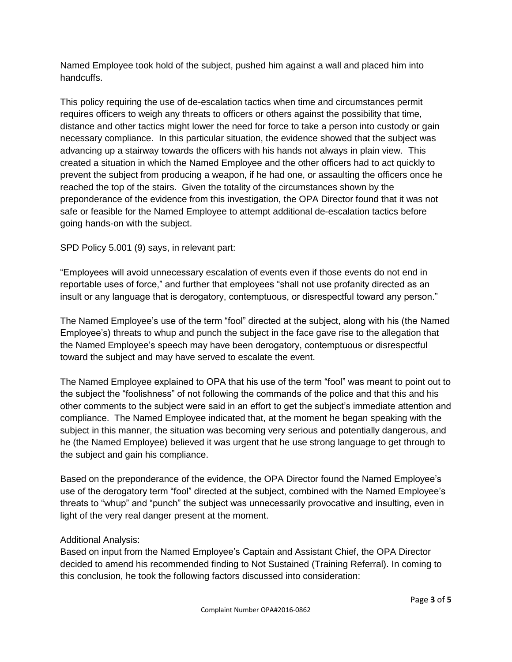Named Employee took hold of the subject, pushed him against a wall and placed him into handcuffs.

This policy requiring the use of de-escalation tactics when time and circumstances permit requires officers to weigh any threats to officers or others against the possibility that time, distance and other tactics might lower the need for force to take a person into custody or gain necessary compliance. In this particular situation, the evidence showed that the subject was advancing up a stairway towards the officers with his hands not always in plain view. This created a situation in which the Named Employee and the other officers had to act quickly to prevent the subject from producing a weapon, if he had one, or assaulting the officers once he reached the top of the stairs. Given the totality of the circumstances shown by the preponderance of the evidence from this investigation, the OPA Director found that it was not safe or feasible for the Named Employee to attempt additional de-escalation tactics before going hands-on with the subject.

SPD Policy 5.001 (9) says, in relevant part:

"Employees will avoid unnecessary escalation of events even if those events do not end in reportable uses of force," and further that employees "shall not use profanity directed as an insult or any language that is derogatory, contemptuous, or disrespectful toward any person."

The Named Employee's use of the term "fool" directed at the subject, along with his (the Named Employee's) threats to whup and punch the subject in the face gave rise to the allegation that the Named Employee's speech may have been derogatory, contemptuous or disrespectful toward the subject and may have served to escalate the event.

The Named Employee explained to OPA that his use of the term "fool" was meant to point out to the subject the "foolishness" of not following the commands of the police and that this and his other comments to the subject were said in an effort to get the subject's immediate attention and compliance. The Named Employee indicated that, at the moment he began speaking with the subject in this manner, the situation was becoming very serious and potentially dangerous, and he (the Named Employee) believed it was urgent that he use strong language to get through to the subject and gain his compliance.

Based on the preponderance of the evidence, the OPA Director found the Named Employee's use of the derogatory term "fool" directed at the subject, combined with the Named Employee's threats to "whup" and "punch" the subject was unnecessarily provocative and insulting, even in light of the very real danger present at the moment.

# Additional Analysis:

Based on input from the Named Employee's Captain and Assistant Chief, the OPA Director decided to amend his recommended finding to Not Sustained (Training Referral). In coming to this conclusion, he took the following factors discussed into consideration: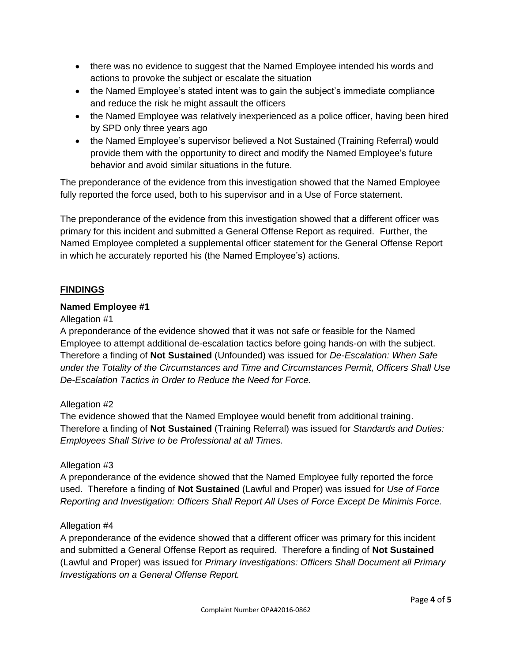- there was no evidence to suggest that the Named Employee intended his words and actions to provoke the subject or escalate the situation
- the Named Employee's stated intent was to gain the subject's immediate compliance and reduce the risk he might assault the officers
- the Named Employee was relatively inexperienced as a police officer, having been hired by SPD only three years ago
- the Named Employee's supervisor believed a Not Sustained (Training Referral) would provide them with the opportunity to direct and modify the Named Employee's future behavior and avoid similar situations in the future.

The preponderance of the evidence from this investigation showed that the Named Employee fully reported the force used, both to his supervisor and in a Use of Force statement.

The preponderance of the evidence from this investigation showed that a different officer was primary for this incident and submitted a General Offense Report as required. Further, the Named Employee completed a supplemental officer statement for the General Offense Report in which he accurately reported his (the Named Employee's) actions.

# **FINDINGS**

#### **Named Employee #1**

#### Allegation #1

A preponderance of the evidence showed that it was not safe or feasible for the Named Employee to attempt additional de-escalation tactics before going hands-on with the subject. Therefore a finding of **Not Sustained** (Unfounded) was issued for *De-Escalation: When Safe under the Totality of the Circumstances and Time and Circumstances Permit, Officers Shall Use De-Escalation Tactics in Order to Reduce the Need for Force.*

#### Allegation #2

The evidence showed that the Named Employee would benefit from additional training. Therefore a finding of **Not Sustained** (Training Referral) was issued for *Standards and Duties: Employees Shall Strive to be Professional at all Times.*

# Allegation #3

A preponderance of the evidence showed that the Named Employee fully reported the force used. Therefore a finding of **Not Sustained** (Lawful and Proper) was issued for *Use of Force Reporting and Investigation: Officers Shall Report All Uses of Force Except De Minimis Force.*

# Allegation #4

A preponderance of the evidence showed that a different officer was primary for this incident and submitted a General Offense Report as required. Therefore a finding of **Not Sustained** (Lawful and Proper) was issued for *Primary Investigations: Officers Shall Document all Primary Investigations on a General Offense Report.*